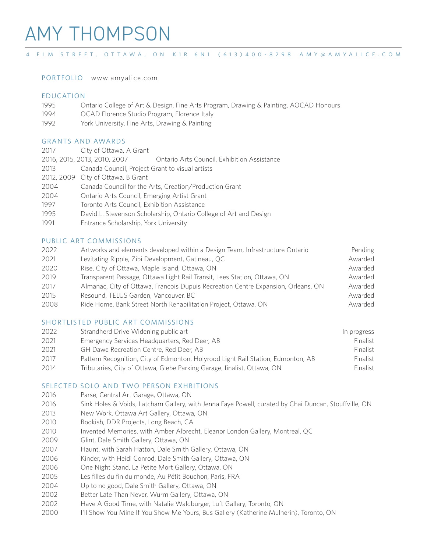# AMY THOMPSON

## 4 ELM STREET, OTTAWA, ON K1R 6N1 (613)400-8298 AMY@AMYALICE.COM

PORTFOLIO www.amyalice.com

# EDUCATION

- Ontario College of Art & Design, Fine Arts Program, Drawing & Painting, AOCAD Honours
- OCAD Florence Studio Program, Florence Italy
- York University, Fine Arts, Drawing & Painting

# GRANTS AND AWARDS

- City of Ottawa, A Grant
- 2016, 2015, 2013, 2010, 2007 Ontario Arts Council, Exhibition Assistance
- Canada Council, Project Grant to visual artists
- 2012, 2009 City of Ottawa, B Grant
- Canada Council for the Arts, Creation/Production Grant
- Ontario Arts Council, Emerging Artist Grant
- Toronto Arts Council, Exhibition Assistance
- David L. Stevenson Scholarship, Ontario College of Art and Design
- Entrance Scholarship, York University

# PUBLIC ART COMMISSIONS

 Artworks and elements developed within a Design Team, Infrastructure Ontario Pending 2021 Levitating Ripple, Zibi Development, Gatineau, QC Awarded Awarded 2020 Rise, City of Ottawa, Maple Island, Ottawa, ON Awarded Awarded Transparent Passage, Ottawa Light Rail Transit, Lees Station, Ottawa, ON Awarded 2017 Almanac, City of Ottawa, Francois Dupuis Recreation Centre Expansion, Orleans, ON Awarded 2015 Resound, TELUS Garden, Vancouver, BC<br>
Awarded 2008 Ride Home, Bank Street North Rehabilitation Project, Ottawa, ON Awarded

# SHORTLISTED PUBLIC ART COMMISSIONS

| 2022 | Strandherd Drive Widening public art                                             | In progress |
|------|----------------------------------------------------------------------------------|-------------|
| 2021 | Emergency Services Headquarters, Red Deer, AB                                    | Finalist    |
| 2021 | GH Dawe Recreation Centre, Red Deer, AB                                          | Finalist    |
| 2017 | Pattern Recognition, City of Edmonton, Holyrood Light Rail Station, Edmonton, AB | Finalist    |
| 2014 | Tributaries, City of Ottawa, Glebe Parking Garage, finalist, Ottawa, ON          | Finalist    |

#### SELECTED SOLO AND TWO PERSON EXHBITIONS

- 2016 Parse, Central Art Garage, Ottawa, ON
- Sink Holes & Voids, Latcham Gallery, with Jenna Faye Powell, curated by Chai Duncan, Stouffville, ON
- New Work, Ottawa Art Gallery, Ottawa, ON
- Bookish, DDR Projects, Long Beach, CA
- Invented Memories, with Amber Albrecht, Eleanor London Gallery, Montreal, QC
- Glint, Dale Smith Gallery, Ottawa, ON
- Haunt, with Sarah Hatton, Dale Smith Gallery, Ottawa, ON
- Kinder, with Heidi Conrod, Dale Smith Gallery, Ottawa, ON
- One Night Stand, La Petite Mort Gallery, Ottawa, ON
- Les filles du fin du monde, Au Pétit Bouchon, Paris, FRA
- Up to no good, Dale Smith Gallery, Ottawa, ON
- Better Late Than Never, Wurm Gallery, Ottawa, ON
- Have A Good Time, with Natalie Waldburger, Luft Gallery, Toronto, ON
- I'll Show You Mine If You Show Me Yours, Bus Gallery (Katherine Mulherin), Toronto, ON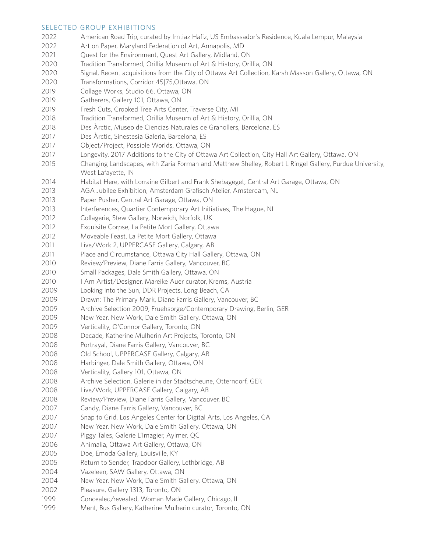#### SELECTED GROUP EXHIBITIONS

| 2022 | American Road Trip, curated by Imtiaz Hafiz, US Embassador's Residence, Kuala Lempur, Malaysia          |
|------|---------------------------------------------------------------------------------------------------------|
| 2022 | Art on Paper, Maryland Federation of Art, Annapolis, MD                                                 |
| 2021 | Quest for the Environment, Quest Art Gallery, Midland, ON                                               |
| 2020 | Tradition Transformed, Orillia Museum of Art & History, Orillia, ON                                     |
| 2020 | Signal, Recent acquisitions from the City of Ottawa Art Collection, Karsh Masson Gallery, Ottawa, ON    |
| 2020 | Transformations, Corridor 45 75,Ottawa, ON                                                              |
| 2019 | Collage Works, Studio 66, Ottawa, ON                                                                    |
| 2019 | Gatherers, Gallery 101, Ottawa, ON                                                                      |
| 2019 | Fresh Cuts, Crooked Tree Arts Center, Traverse City, MI                                                 |
| 2018 | Tradition Transformed, Orillia Museum of Art & History, Orillia, ON                                     |
| 2018 | Des Àrctic, Museo de Ciencias Naturales de Granollers, Barcelona, ES                                    |
| 2017 | Des Àrctic, Sinestesia Galeria, Barcelona, ES                                                           |
| 2017 | Object/Project, Possible Worlds, Ottawa, ON                                                             |
| 2017 | Longevity, 2017 Additions to the City of Ottawa Art Collection, City Hall Art Gallery, Ottawa, ON       |
| 2015 | Changing Landscapes, with Zaria Forman and Matthew Shelley, Robert L Ringel Gallery, Purdue University, |
|      | West Lafayette, IN                                                                                      |
| 2014 | Habitat Here, with Lorraine Gilbert and Frank Shebageget, Central Art Garage, Ottawa, ON                |
| 2013 | AGA Jubilee Exhibition, Amsterdam Grafisch Atelier, Amsterdam, NL                                       |
| 2013 | Paper Pusher, Central Art Garage, Ottawa, ON                                                            |
| 2013 | Interferences, Quartier Contemporary Art Initiatives, The Hague, NL                                     |
| 2012 | Collagerie, Stew Gallery, Norwich, Norfolk, UK                                                          |
| 2012 | Exquisite Corpse, La Petite Mort Gallery, Ottawa                                                        |
| 2012 | Moveable Feast, La Petite Mort Gallery, Ottawa                                                          |
| 2011 | Live/Work 2, UPPERCASE Gallery, Calgary, AB                                                             |
| 2011 | Place and Circumstance, Ottawa City Hall Gallery, Ottawa, ON                                            |
| 2010 | Review/Preview, Diane Farris Gallery, Vancouver, BC                                                     |
| 2010 | Small Packages, Dale Smith Gallery, Ottawa, ON                                                          |
| 2010 | I Am Artist/Designer, Mareike Auer curator, Krems, Austria                                              |
| 2009 | Looking into the Sun, DDR Projects, Long Beach, CA                                                      |
| 2009 | Drawn: The Primary Mark, Diane Farris Gallery, Vancouver, BC                                            |
| 2009 | Archive Selection 2009, Fruehsorge/Contemporary Drawing, Berlin, GER                                    |
| 2009 | New Year, New Work, Dale Smith Gallery, Ottawa, ON                                                      |
| 2009 | Verticality, O'Connor Gallery, Toronto, ON                                                              |
| 2008 | Decade, Katherine Mulherin Art Projects, Toronto, ON                                                    |
| 2008 | Portrayal, Diane Farris Gallery, Vancouver, BC                                                          |
| 2008 | Old School, UPPERCASE Gallery, Calgary, AB                                                              |
| 2008 | Harbinger, Dale Smith Gallery, Ottawa, ON                                                               |
| 2008 | Verticality, Gallery 101, Ottawa, ON                                                                    |
| 2008 | Archive Selection, Galerie in der Stadtscheune, Otterndorf, GER                                         |
| 2008 | Live/Work, UPPERCASE Gallery, Calgary, AB                                                               |
| 2008 | Review/Preview, Diane Farris Gallery, Vancouver, BC                                                     |
| 2007 | Candy, Diane Farris Gallery, Vancouver, BC                                                              |
| 2007 | Snap to Grid, Los Angeles Center for Digital Arts, Los Angeles, CA                                      |
| 2007 | New Year, New Work, Dale Smith Gallery, Ottawa, ON                                                      |
| 2007 | Piggy Tales, Galerie L'Imagier, Aylmer, QC                                                              |
| 2006 | Animalia, Ottawa Art Gallery, Ottawa, ON                                                                |
| 2005 | Doe, Emoda Gallery, Louisville, KY                                                                      |
| 2005 | Return to Sender, Trapdoor Gallery, Lethbridge, AB                                                      |
| 2004 | Vazeleen, SAW Gallery, Ottawa, ON                                                                       |
| 2004 | New Year, New Work, Dale Smith Gallery, Ottawa, ON                                                      |
| 2002 | Pleasure, Gallery 1313, Toronto, ON                                                                     |
| 1999 | Concealed/revealed, Woman Made Gallery, Chicago, IL                                                     |
| 1999 | Ment, Bus Gallery, Katherine Mulherin curator, Toronto, ON                                              |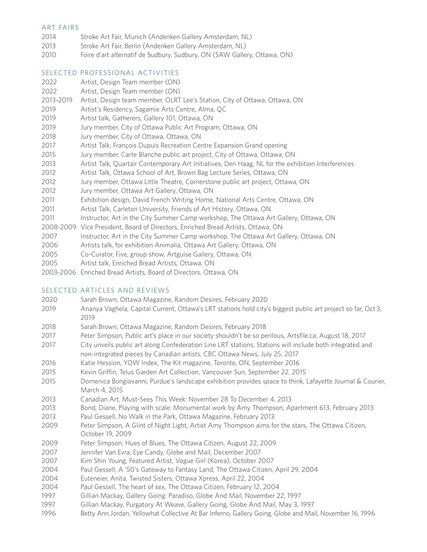# ART FAIRS

- Stroke Art Fair, Munich (Andenken Gallery Amsterdam, NL)
- Stroke Art Fair, Berlin (Andenken Gallery Amsterdam, NL)
- Foire d'art alternatif de Sudbury, Sudbury, ON (SAW Gallery, Ottawa, ON)

# SELECTED PROFESSIONAL ACTIVITIES

- Artist, Design Team member (ON)
- Artist, Design Team member (ON)
- 2013-2019 Artist, Design team member, OLRT Lee's Station, City of Ottawa, Ottawa, ON
- Artist's Residency, Sagamie Arts Centre, Alma, QC
- Artist talk, Gatherers, Gallery 101, Ottawa, ON
- Jury member, City of Ottawa Public Art Program, Ottawa, ON
- Jury member, City of Ottawa, Ottawa, ON
- Artist Talk, François Dupuis Recreation Centre Expansion Grand opening
- Jury member, Carte Blanche public art project, City of Ottawa, Ottawa, ON
- Artist Talk, Quartair Contemporary Art Initiatives, Den Haag, NL for the exhibition Interferences
- Artist Talk, Ottawa School of Art, Brown Bag Lecture Series, Ottawa, ON
- Jury member, Ottawa Little Theatre, Cornerstone public art project, Ottawa, ON
- Jury member, Ottawa Art Gallery, Ottawa, ON
- Exhibition design, David French Writing Home, National Arts Centre, Ottawa, ON
- 2011 Artist Talk, Carleton University, Friends of Art History, Ottawa, ON
- Instructor, Art in the City Summer Camp workshop, The Ottawa Art Gallery, Ottawa, ON
- 2008-2009 Vice President, Board of Directors, Enriched Bread Artists, Ottawa, ON
- Instructor, Art in the City Summer Camp workshop, The Ottawa Art Gallery, Ottawa, ON
- Artists talk, for exhibition Animalia, Ottawa Art Gallery, Ottawa, ON
- Co-Curator, Five, group show, Artguise Gallery, Ottawa, ON
- Artist talk, Enriched Bread Artists, Ottawa, ON
- 2003-2006 Enriched Bread Artists, Board of Directors, Ottawa, ON

# SELECTED ARTICLES AND REVIEWS

- Sarah Brown, Ottawa Magazine, Random Desires, February 2020
- 2019 Ananya Vaghela, Capital Current, Ottawa's LRT stations hold city's biggest public art project so far, Oct 3,
- Sarah Brown, Ottawa Magazine, Random Desires, February 2018
- 2017 Peter Simpson, Public art's place in our society shouldn't be so perilous, Artsfile.ca, August 18, 2017
- 2017 City unveils public art along Confederation Line LRT stations, Stations will include both integrated and non-integrated pieces by Canadian artists, CBC Ottawa News, July 25, 2017
- Katie Hession, YOW Index, The Kit magazine, Toronto, ON, September 2016
- Kevin Griffin, Telus Garden Art Collection, Vancouver Sun, September 22, 2015
- 2015 Domenica Bongiovanni, Purdue's landscape exhibition provides space to think, Lafayette Journal & Courier, March 4, 2015
- Canadian Art, Must-Sees This Week: November 28 To December 4, 2013
- Bond, Diane, Playing with scale: Monumental work by Amy Thompson, Apartment 613, February 2013
- Paul Gessell, No Walk in the Park, Ottawa Magazine, February 2013
- 2009 Peter Simpson, A Glint of Night Light, Artist Amy Thompson aims for the stars, The Ottawa Citizen, October 19, 2009
- Peter Simpson, Hues of Blues, The Ottawa Citizen, August 22, 2009
- Jennifer Van Evra, Eye Candy, Globe and Mail, December 2007
- Kim Shin Young, Featured Artist, Vogue Girl (Korea), October 2007
- Paul Gessell, A '50's Gateway to Fantasy Land, The Ottawa Citizen, April 29, 2004
- Euteneier, Anita, Twisted Sisters, Ottawa Xpress, April 22, 2004
- Paul Gessell, The heart of sex, The Ottawa Citizen, February 12, 2004
- Gillian Mackay, Gallery Going: Paradiso, Globe And Mail, November 22, 1997
- Gillian Mackay, Purgatory At Weave, Gallery Going, Globe And Mail, May 3, 1997
- Betty Ann Jordan, Yellowhat Collective At Bar Inferno, Gallery Going, Globe and Mail, November 16, 1996